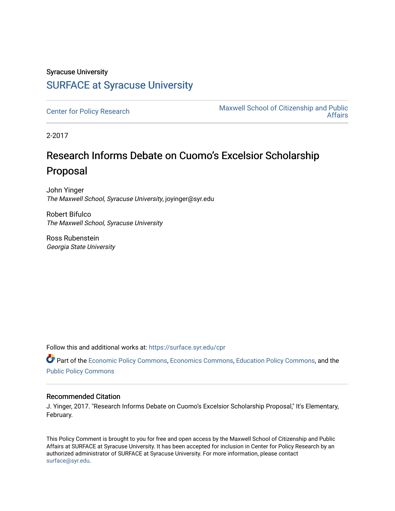### Syracuse University [SURFACE at Syracuse University](https://surface.syr.edu/)

[Center for Policy Research](https://surface.syr.edu/cpr) Maxwell School of Citizenship and Public [Affairs](https://surface.syr.edu/maxwell) 

2-2017

## Research Informs Debate on Cuomo's Excelsior Scholarship Proposal

John Yinger The Maxwell School, Syracuse University, joyinger@syr.edu

Robert Bifulco The Maxwell School, Syracuse University

Ross Rubenstein Georgia State University

Follow this and additional works at: [https://surface.syr.edu/cpr](https://surface.syr.edu/cpr?utm_source=surface.syr.edu%2Fcpr%2F344&utm_medium=PDF&utm_campaign=PDFCoverPages) 

Part of the [Economic Policy Commons](http://network.bepress.com/hgg/discipline/1025?utm_source=surface.syr.edu%2Fcpr%2F344&utm_medium=PDF&utm_campaign=PDFCoverPages), [Economics Commons,](http://network.bepress.com/hgg/discipline/340?utm_source=surface.syr.edu%2Fcpr%2F344&utm_medium=PDF&utm_campaign=PDFCoverPages) [Education Policy Commons](http://network.bepress.com/hgg/discipline/1026?utm_source=surface.syr.edu%2Fcpr%2F344&utm_medium=PDF&utm_campaign=PDFCoverPages), and the [Public Policy Commons](http://network.bepress.com/hgg/discipline/400?utm_source=surface.syr.edu%2Fcpr%2F344&utm_medium=PDF&utm_campaign=PDFCoverPages)

#### Recommended Citation

J. Yinger, 2017. "Research Informs Debate on Cuomo's Excelsior Scholarship Proposal," It's Elementary, February.

This Policy Comment is brought to you for free and open access by the Maxwell School of Citizenship and Public Affairs at SURFACE at Syracuse University. It has been accepted for inclusion in Center for Policy Research by an authorized administrator of SURFACE at Syracuse University. For more information, please contact [surface@syr.edu.](mailto:surface@syr.edu)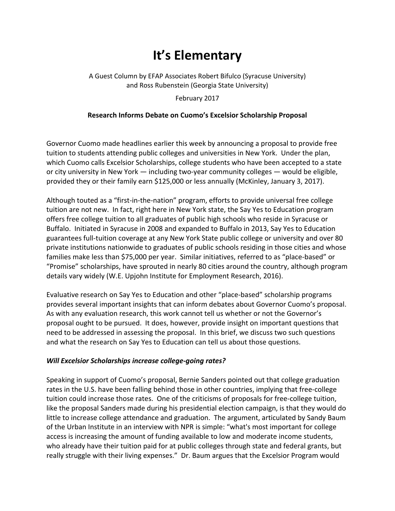# **It's Elementary**

#### A Guest Column by EFAP Associates Robert Bifulco (Syracuse University) and Ross Rubenstein (Georgia State University)

February 2017

#### **Research Informs Debate on Cuomo's Excelsior Scholarship Proposal**

Governor Cuomo made headlines earlier this week by announcing a proposal to provide free tuition to students attending public colleges and universities in New York. Under the plan, which Cuomo calls Excelsior Scholarships, college students who have been accepted to a state or city university in New York — including two-year community colleges — would be eligible, provided they or their family earn \$125,000 or less annually (McKinley, January 3, 2017).

Although touted as a "first-in-the-nation" program, efforts to provide universal free college tuition are not new. In fact, right here in New York state, the Say Yes to Education program offers free college tuition to all graduates of public high schools who reside in Syracuse or Buffalo. Initiated in Syracuse in 2008 and expanded to Buffalo in 2013, Say Yes to Education guarantees full-tuition coverage at any New York State public college or university and over 80 private institutions nationwide to graduates of public schools residing in those cities and whose families make less than \$75,000 per year. Similar initiatives, referred to as "place-based" or "Promise" scholarships, have sprouted in nearly 80 cities around the country, although program details vary widely (W.E. Upjohn Institute for Employment Research, 2016).

Evaluative research on Say Yes to Education and other "place-based" scholarship programs provides several important insights that can inform debates about Governor Cuomo's proposal. As with any evaluation research, this work cannot tell us whether or not the Governor's proposal ought to be pursued. It does, however, provide insight on important questions that need to be addressed in assessing the proposal. In this brief, we discuss two such questions and what the research on Say Yes to Education can tell us about those questions.

#### *Will Excelsior Scholarships increase college-going rates?*

Speaking in support of Cuomo's proposal, Bernie Sanders pointed out that college graduation rates in the U.S. have been falling behind those in other countries, implying that free-college tuition could increase those rates. One of the criticisms of proposals for free-college tuition, like the proposal Sanders made during his presidential election campaign, is that they would do little to increase college attendance and graduation. The argument, articulated by Sandy Baum of the Urban Institute in an interview with NPR is simple: "what's most important for college access is increasing the amount of funding available to low and moderate income students, who already have their tuition paid for at public colleges through state and federal grants, but really struggle with their living expenses." Dr. Baum argues that the Excelsior Program would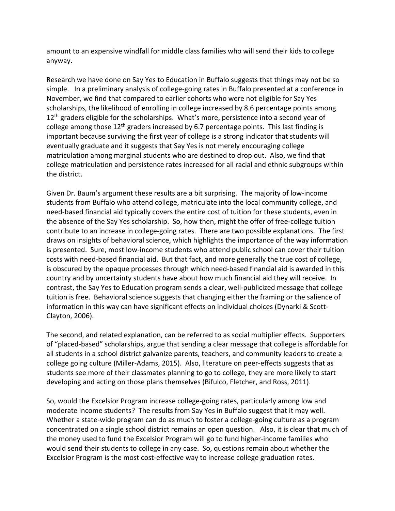amount to an expensive windfall for middle class families who will send their kids to college anyway.

Research we have done on Say Yes to Education in Buffalo suggests that things may not be so simple. In a preliminary analysis of college-going rates in Buffalo presented at a conference in November, we find that compared to earlier cohorts who were not eligible for Say Yes scholarships, the likelihood of enrolling in college increased by 8.6 percentage points among  $12<sup>th</sup>$  graders eligible for the scholarships. What's more, persistence into a second year of college among those  $12<sup>th</sup>$  graders increased by 6.7 percentage points. This last finding is important because surviving the first year of college is a strong indicator that students will eventually graduate and it suggests that Say Yes is not merely encouraging college matriculation among marginal students who are destined to drop out. Also, we find that college matriculation and persistence rates increased for all racial and ethnic subgroups within the district.

Given Dr. Baum's argument these results are a bit surprising. The majority of low-income students from Buffalo who attend college, matriculate into the local community college, and need-based financial aid typically covers the entire cost of tuition for these students, even in the absence of the Say Yes scholarship. So, how then, might the offer of free-college tuition contribute to an increase in college-going rates. There are two possible explanations. The first draws on insights of behavioral science, which highlights the importance of the way information is presented. Sure, most low-income students who attend public school can cover their tuition costs with need-based financial aid. But that fact, and more generally the true cost of college, is obscured by the opaque processes through which need-based financial aid is awarded in this country and by uncertainty students have about how much financial aid they will receive. In contrast, the Say Yes to Education program sends a clear, well-publicized message that college tuition is free. Behavioral science suggests that changing either the framing or the salience of information in this way can have significant effects on individual choices (Dynarki & Scott-Clayton, 2006).

The second, and related explanation, can be referred to as social multiplier effects. Supporters of "placed-based" scholarships, argue that sending a clear message that college is affordable for all students in a school district galvanize parents, teachers, and community leaders to create a college going culture (Miller-Adams, 2015). Also, literature on peer-effects suggests that as students see more of their classmates planning to go to college, they are more likely to start developing and acting on those plans themselves (Bifulco, Fletcher, and Ross, 2011).

So, would the Excelsior Program increase college-going rates, particularly among low and moderate income students? The results from Say Yes in Buffalo suggest that it may well. Whether a state-wide program can do as much to foster a college-going culture as a program concentrated on a single school district remains an open question. Also, it is clear that much of the money used to fund the Excelsior Program will go to fund higher-income families who would send their students to college in any case. So, questions remain about whether the Excelsior Program is the most cost-effective way to increase college graduation rates.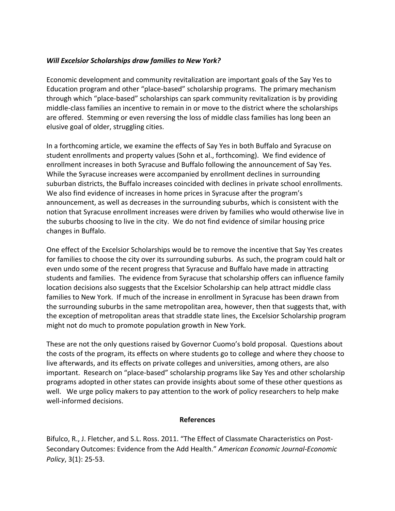#### *Will Excelsior Scholarships draw families to New York?*

Economic development and community revitalization are important goals of the Say Yes to Education program and other "place-based" scholarship programs. The primary mechanism through which "place-based" scholarships can spark community revitalization is by providing middle-class families an incentive to remain in or move to the district where the scholarships are offered. Stemming or even reversing the loss of middle class families has long been an elusive goal of older, struggling cities.

In a forthcoming article, we examine the effects of Say Yes in both Buffalo and Syracuse on student enrollments and property values (Sohn et al., forthcoming). We find evidence of enrollment increases in both Syracuse and Buffalo following the announcement of Say Yes. While the Syracuse increases were accompanied by enrollment declines in surrounding suburban districts, the Buffalo increases coincided with declines in private school enrollments. We also find evidence of increases in home prices in Syracuse after the program's announcement, as well as decreases in the surrounding suburbs, which is consistent with the notion that Syracuse enrollment increases were driven by families who would otherwise live in the suburbs choosing to live in the city. We do not find evidence of similar housing price changes in Buffalo.

One effect of the Excelsior Scholarships would be to remove the incentive that Say Yes creates for families to choose the city over its surrounding suburbs. As such, the program could halt or even undo some of the recent progress that Syracuse and Buffalo have made in attracting students and families. The evidence from Syracuse that scholarship offers can influence family location decisions also suggests that the Excelsior Scholarship can help attract middle class families to New York. If much of the increase in enrollment in Syracuse has been drawn from the surrounding suburbs in the same metropolitan area, however, then that suggests that, with the exception of metropolitan areas that straddle state lines, the Excelsior Scholarship program might not do much to promote population growth in New York.

These are not the only questions raised by Governor Cuomo's bold proposal. Questions about the costs of the program, its effects on where students go to college and where they choose to live afterwards, and its effects on private colleges and universities, among others, are also important. Research on "place-based" scholarship programs like Say Yes and other scholarship programs adopted in other states can provide insights about some of these other questions as well. We urge policy makers to pay attention to the work of policy researchers to help make well-informed decisions.

#### **References**

Bifulco, R., J. Fletcher, and S.L. Ross. 2011. "The Effect of Classmate Characteristics on Post-Secondary Outcomes: Evidence from the Add Health." *American Economic Journal-Economic Policy*, 3(1): 25-53.